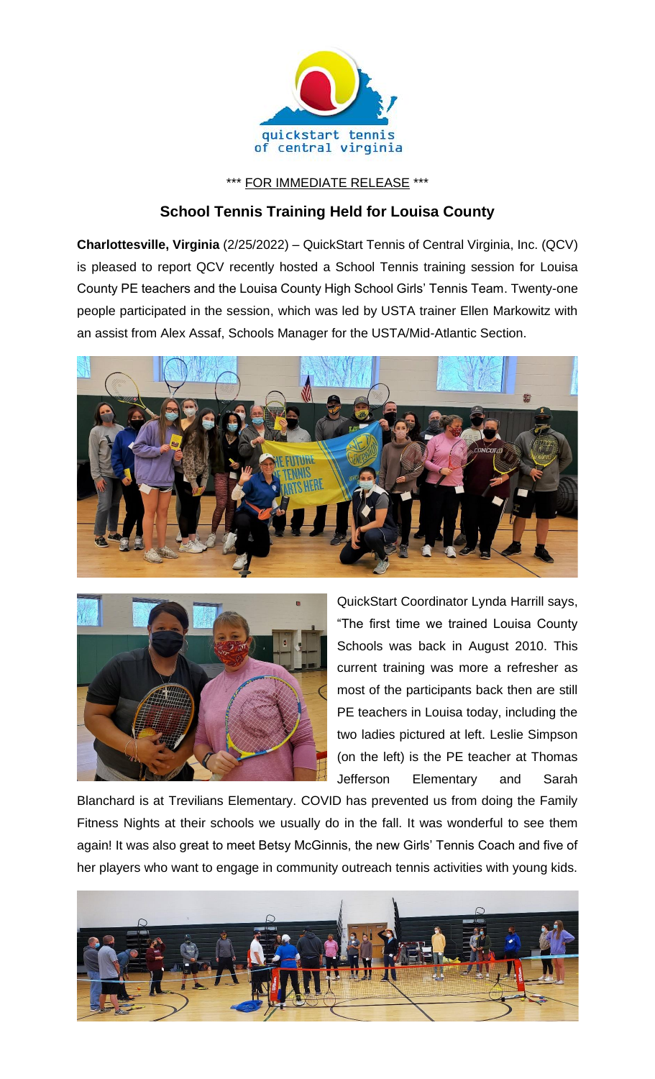

\*\*\* FOR IMMEDIATE RELEASE \*\*\*

## **School Tennis Training Held for Louisa County**

**Charlottesville, Virginia** (2/25/2022) – QuickStart Tennis of Central Virginia, Inc. (QCV) is pleased to report QCV recently hosted a School Tennis training session for Louisa County PE teachers and the Louisa County High School Girls' Tennis Team. Twenty-one people participated in the session, which was led by USTA trainer Ellen Markowitz with an assist from Alex Assaf, Schools Manager for the USTA/Mid-Atlantic Section.





QuickStart Coordinator Lynda Harrill says, "The first time we trained Louisa County Schools was back in August 2010. This current training was more a refresher as most of the participants back then are still PE teachers in Louisa today, including the two ladies pictured at left. Leslie Simpson (on the left) is the PE teacher at Thomas Jefferson Elementary and Sarah

Blanchard is at Trevilians Elementary. COVID has prevented us from doing the Family Fitness Nights at their schools we usually do in the fall. It was wonderful to see them again! It was also great to meet Betsy McGinnis, the new Girls' Tennis Coach and five of her players who want to engage in community outreach tennis activities with young kids.